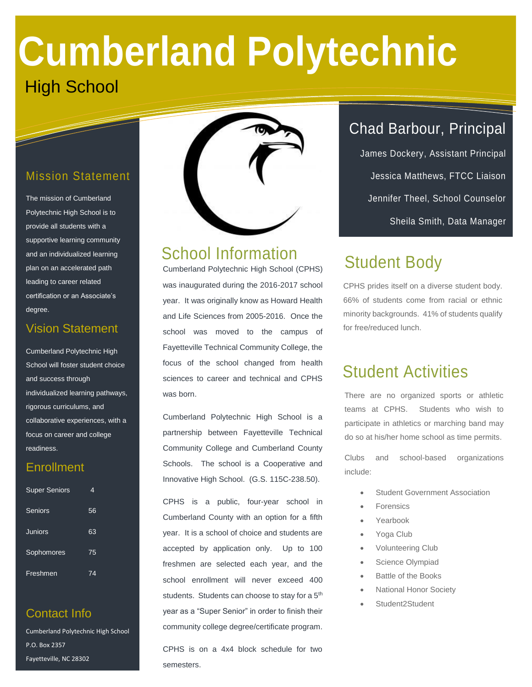# **Cumberland Polytechnic** High School

#### Mission Statement

The mission of Cumberland Polytechnic High School is to provide all students with a supportive learning community and an individualized learning plan on an accelerated path leading to career related certification or an Associate's degree.

#### Vision Statement

Cumberland Polytechnic High School will foster student choice and success through individualized learning pathways, rigorous curriculums, and collaborative experiences, with a focus on career and college readiness.

#### **Enrollment**

| <b>Super Seniors</b> | 4  |
|----------------------|----|
| Seniors              | 56 |
| Juniors              | 63 |
| Sophomores           | 75 |
| Freshmen             | 74 |

#### Contact Info

910-486-7300

Cumberland Polytechnic High School P.O. Box 2357 Fayetteville, NC 28302



### School Information

Cumberland Polytechnic High School (CPHS) was inaugurated during the 2016-2017 school year. It was originally know as Howard Health and Life Sciences from 2005-2016. Once the school was moved to the campus of Fayetteville Technical Community College, the focus of the school changed from health sciences to career and technical and CPHS was born.

Cumberland Polytechnic High School is a partnership between Fayetteville Technical Community College and Cumberland County Schools. The school is a Cooperative and Innovative High School. (G.S. 115C-238.50).

CPHS is a public, four-year school in Cumberland County with an option for a fifth year. It is a school of choice and students are accepted by application only. Up to 100 freshmen are selected each year, and the school enrollment will never exceed 400 students. Students can choose to stay for a 5<sup>th</sup> year as a "Super Senior" in order to finish their community college degree/certificate program.

CPHS is on a 4x4 block schedule for two semesters.

## Chad Barbour, Principal

James Dockery, Assistant Principal Jessica Matthews, FTCC Liaison Jennifer Theel, School Counselor Sheila Smith, Data Manager

# Student Body

CPHS prides itself on a diverse student body. 66% of students come from racial or ethnic minority backgrounds. 41% of students qualify for free/reduced lunch.

## Student Activities

There are no organized sports or athletic teams at CPHS. Students who wish to participate in athletics or marching band may do so at his/her home school as time permits.

Clubs and school-based organizations include:

- Student Government Association
- Forensics
- Yearbook
- Yoga Club
- Volunteering Club
- Science Olympiad
- Battle of the Books
- National Honor Society
- Student2Student